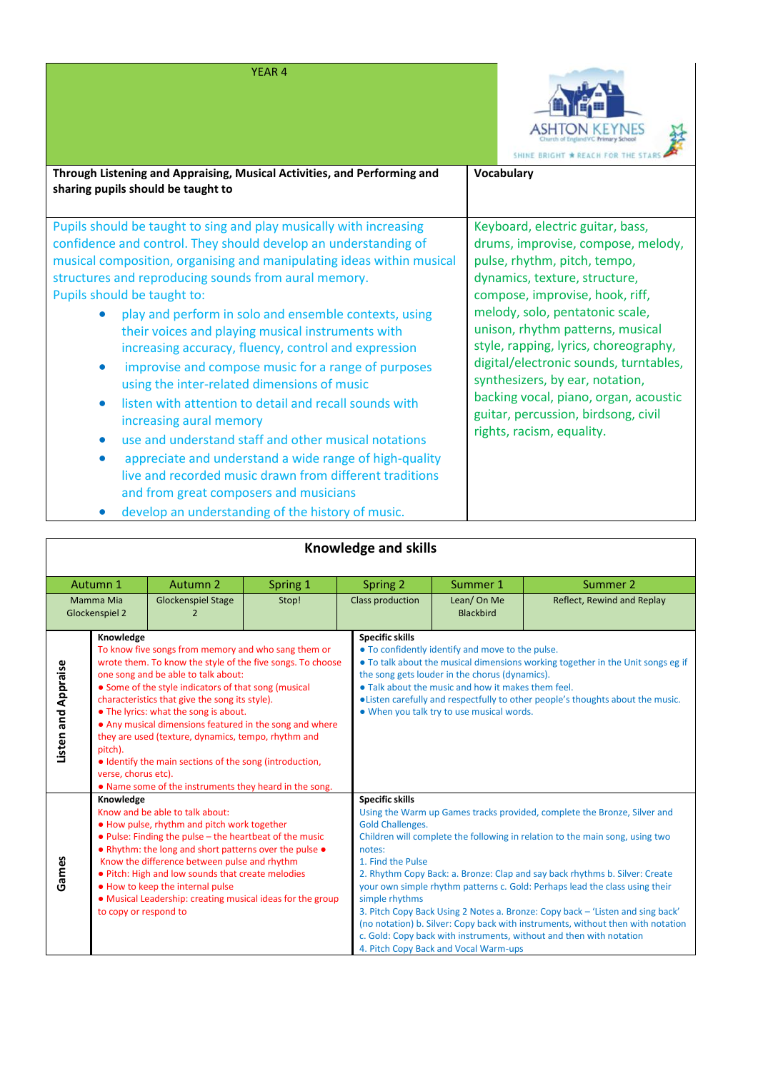## YEAR 4



| Through Listening and Appraising, Musical Activities, and Performing and<br>sharing pupils should be taught to                                                                                                                                                                                                                                                                                                                                                                                                                                                                                                                                                                                                                                                                                                                                                                                                          | Vocabulary                                                                                                                                                                                                                                                                                                                                                                                                                                                                           |
|-------------------------------------------------------------------------------------------------------------------------------------------------------------------------------------------------------------------------------------------------------------------------------------------------------------------------------------------------------------------------------------------------------------------------------------------------------------------------------------------------------------------------------------------------------------------------------------------------------------------------------------------------------------------------------------------------------------------------------------------------------------------------------------------------------------------------------------------------------------------------------------------------------------------------|--------------------------------------------------------------------------------------------------------------------------------------------------------------------------------------------------------------------------------------------------------------------------------------------------------------------------------------------------------------------------------------------------------------------------------------------------------------------------------------|
| Pupils should be taught to sing and play musically with increasing<br>confidence and control. They should develop an understanding of<br>musical composition, organising and manipulating ideas within musical<br>structures and reproducing sounds from aural memory.<br>Pupils should be taught to:<br>play and perform in solo and ensemble contexts, using<br>their voices and playing musical instruments with<br>increasing accuracy, fluency, control and expression<br>improvise and compose music for a range of purposes<br>$\bullet$<br>using the inter-related dimensions of music<br>listen with attention to detail and recall sounds with<br>increasing aural memory<br>use and understand staff and other musical notations<br>appreciate and understand a wide range of high-quality<br>$\bullet$<br>live and recorded music drawn from different traditions<br>and from great composers and musicians | Keyboard, electric guitar, bass,<br>drums, improvise, compose, melody,<br>pulse, rhythm, pitch, tempo,<br>dynamics, texture, structure,<br>compose, improvise, hook, riff,<br>melody, solo, pentatonic scale,<br>unison, rhythm patterns, musical<br>style, rapping, lyrics, choreography,<br>digital/electronic sounds, turntables,<br>synthesizers, by ear, notation,<br>backing vocal, piano, organ, acoustic<br>guitar, percussion, birdsong, civil<br>rights, racism, equality. |

• develop an understanding of the history of music.

| Knowledge and skills |                                                                                                                   |                                                        |          |                         |                                                                                                                                                                                       |                            |  |
|----------------------|-------------------------------------------------------------------------------------------------------------------|--------------------------------------------------------|----------|-------------------------|---------------------------------------------------------------------------------------------------------------------------------------------------------------------------------------|----------------------------|--|
|                      |                                                                                                                   |                                                        |          |                         |                                                                                                                                                                                       |                            |  |
| Autumn 1             |                                                                                                                   | <b>Autumn 2</b>                                        | Spring 1 | Spring 2                | Summer 1                                                                                                                                                                              | Summer 2                   |  |
| Mamma Mia            |                                                                                                                   | <b>Glockenspiel Stage</b>                              | Stop!    | <b>Class production</b> | Lean/On Me                                                                                                                                                                            | Reflect, Rewind and Replay |  |
| Glockenspiel 2<br>2  |                                                                                                                   |                                                        |          | <b>Blackbird</b>        |                                                                                                                                                                                       |                            |  |
|                      | Knowledge                                                                                                         |                                                        |          | <b>Specific skills</b>  |                                                                                                                                                                                       |                            |  |
|                      | To know five songs from memory and who sang them or<br>wrote them. To know the style of the five songs. To choose |                                                        |          |                         | . To confidently identify and move to the pulse.<br>• To talk about the musical dimensions working together in the Unit songs eg if<br>the song gets louder in the chorus (dynamics). |                            |  |
|                      | one song and be able to talk about:                                                                               |                                                        |          |                         |                                                                                                                                                                                       |                            |  |
|                      | • Some of the style indicators of that song (musical                                                              |                                                        |          |                         | • Talk about the music and how it makes them feel.                                                                                                                                    |                            |  |
|                      | characteristics that give the song its style).                                                                    |                                                        |          |                         | . Listen carefully and respectfully to other people's thoughts about the music.                                                                                                       |                            |  |
|                      | • The lyrics: what the song is about.                                                                             |                                                        |          |                         | . When you talk try to use musical words.                                                                                                                                             |                            |  |
|                      | • Any musical dimensions featured in the song and where                                                           |                                                        |          |                         |                                                                                                                                                                                       |                            |  |
| Listen and Appraise  | they are used (texture, dynamics, tempo, rhythm and<br>pitch).                                                    |                                                        |          |                         |                                                                                                                                                                                       |                            |  |
|                      | • Identify the main sections of the song (introduction,                                                           |                                                        |          |                         |                                                                                                                                                                                       |                            |  |
|                      | verse, chorus etc).                                                                                               |                                                        |          |                         |                                                                                                                                                                                       |                            |  |
|                      |                                                                                                                   | • Name some of the instruments they heard in the song. |          |                         |                                                                                                                                                                                       |                            |  |
|                      | Knowledge                                                                                                         |                                                        |          |                         | <b>Specific skills</b>                                                                                                                                                                |                            |  |
|                      | Know and be able to talk about:                                                                                   |                                                        |          |                         | Using the Warm up Games tracks provided, complete the Bronze, Silver and                                                                                                              |                            |  |
|                      | . How pulse, rhythm and pitch work together                                                                       |                                                        |          |                         | <b>Gold Challenges.</b>                                                                                                                                                               |                            |  |
|                      | . Pulse: Finding the pulse - the heartbeat of the music<br>• Rhythm: the long and short patterns over the pulse • |                                                        |          | notes:                  | Children will complete the following in relation to the main song, using two                                                                                                          |                            |  |
|                      | Know the difference between pulse and rhythm                                                                      |                                                        |          | 1. Find the Pulse       |                                                                                                                                                                                       |                            |  |
| Games                | . Pitch: High and low sounds that create melodies                                                                 |                                                        |          |                         | 2. Rhythm Copy Back: a. Bronze: Clap and say back rhythms b. Silver: Create                                                                                                           |                            |  |
|                      | . How to keep the internal pulse                                                                                  |                                                        |          |                         | your own simple rhythm patterns c. Gold: Perhaps lead the class using their                                                                                                           |                            |  |
|                      | • Musical Leadership: creating musical ideas for the group                                                        |                                                        |          | simple rhythms          |                                                                                                                                                                                       |                            |  |
|                      | to copy or respond to                                                                                             |                                                        |          |                         | 3. Pitch Copy Back Using 2 Notes a. Bronze: Copy back - 'Listen and sing back'                                                                                                        |                            |  |
|                      |                                                                                                                   |                                                        |          |                         | (no notation) b. Silver: Copy back with instruments, without then with notation<br>c. Gold: Copy back with instruments, without and then with notation                                |                            |  |
|                      |                                                                                                                   |                                                        |          |                         | 4. Pitch Copy Back and Vocal Warm-ups                                                                                                                                                 |                            |  |